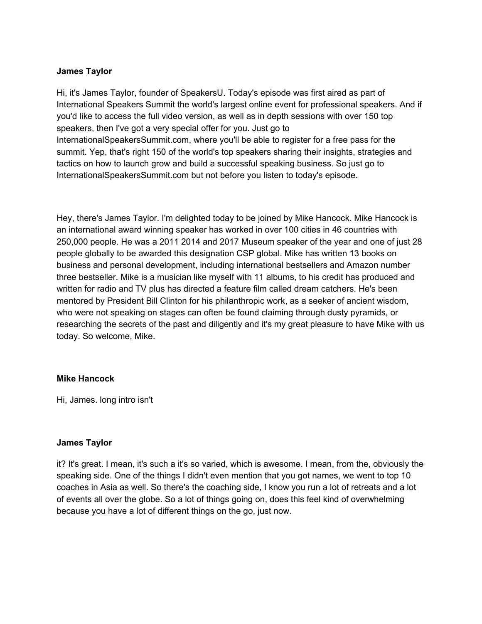Hi, it's James Taylor, founder of SpeakersU. Today's episode was first aired as part of International Speakers Summit the world's largest online event for professional speakers. And if you'd like to access the full video version, as well as in depth sessions with over 150 top speakers, then I've got a very special offer for you. Just go to InternationalSpeakersSummit.com, where you'll be able to register for a free pass for the summit. Yep, that's right 150 of the world's top speakers sharing their insights, strategies and tactics on how to launch grow and build a successful speaking business. So just go to InternationalSpeakersSummit.com but not before you listen to today's episode.

Hey, there's James Taylor. I'm delighted today to be joined by Mike Hancock. Mike Hancock is an international award winning speaker has worked in over 100 cities in 46 countries with 250,000 people. He was a 2011 2014 and 2017 Museum speaker of the year and one of just 28 people globally to be awarded this designation CSP global. Mike has written 13 books on business and personal development, including international bestsellers and Amazon number three bestseller. Mike is a musician like myself with 11 albums, to his credit has produced and written for radio and TV plus has directed a feature film called dream catchers. He's been mentored by President Bill Clinton for his philanthropic work, as a seeker of ancient wisdom, who were not speaking on stages can often be found claiming through dusty pyramids, or researching the secrets of the past and diligently and it's my great pleasure to have Mike with us today. So welcome, Mike.

#### **Mike Hancock**

Hi, James. long intro isn't

## **James Taylor**

it? It's great. I mean, it's such a it's so varied, which is awesome. I mean, from the, obviously the speaking side. One of the things I didn't even mention that you got names, we went to top 10 coaches in Asia as well. So there's the coaching side, I know you run a lot of retreats and a lot of events all over the globe. So a lot of things going on, does this feel kind of overwhelming because you have a lot of different things on the go, just now.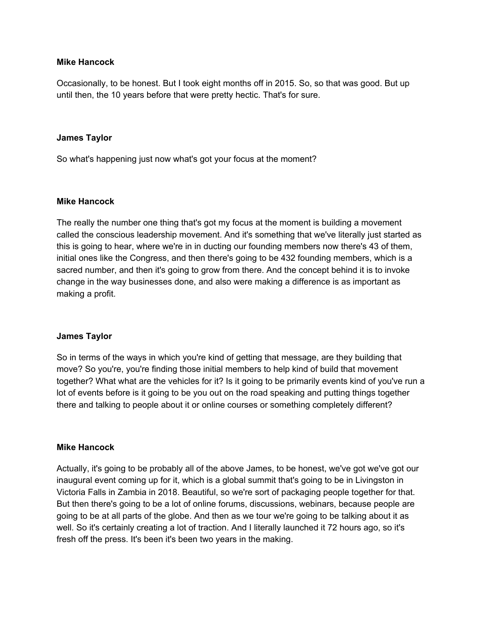## **Mike Hancock**

Occasionally, to be honest. But I took eight months off in 2015. So, so that was good. But up until then, the 10 years before that were pretty hectic. That's for sure.

### **James Taylor**

So what's happening just now what's got your focus at the moment?

### **Mike Hancock**

The really the number one thing that's got my focus at the moment is building a movement called the conscious leadership movement. And it's something that we've literally just started as this is going to hear, where we're in in ducting our founding members now there's 43 of them, initial ones like the Congress, and then there's going to be 432 founding members, which is a sacred number, and then it's going to grow from there. And the concept behind it is to invoke change in the way businesses done, and also were making a difference is as important as making a profit.

## **James Taylor**

So in terms of the ways in which you're kind of getting that message, are they building that move? So you're, you're finding those initial members to help kind of build that movement together? What what are the vehicles for it? Is it going to be primarily events kind of you've run a lot of events before is it going to be you out on the road speaking and putting things together there and talking to people about it or online courses or something completely different?

#### **Mike Hancock**

Actually, it's going to be probably all of the above James, to be honest, we've got we've got our inaugural event coming up for it, which is a global summit that's going to be in Livingston in Victoria Falls in Zambia in 2018. Beautiful, so we're sort of packaging people together for that. But then there's going to be a lot of online forums, discussions, webinars, because people are going to be at all parts of the globe. And then as we tour we're going to be talking about it as well. So it's certainly creating a lot of traction. And I literally launched it 72 hours ago, so it's fresh off the press. It's been it's been two years in the making.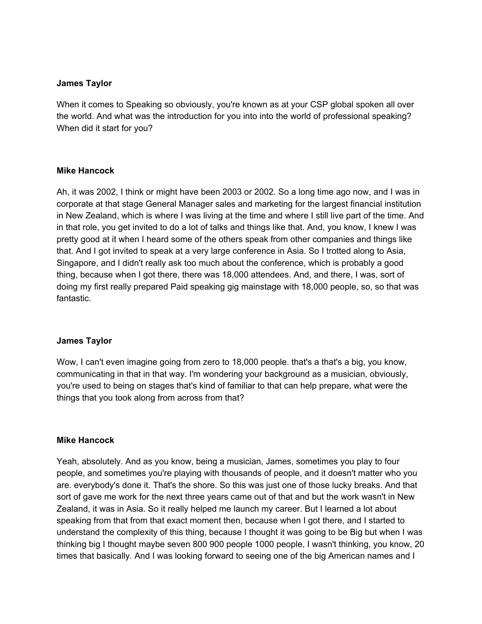When it comes to Speaking so obviously, you're known as at your CSP global spoken all over the world. And what was the introduction for you into into the world of professional speaking? When did it start for you?

### **Mike Hancock**

Ah, it was 2002, I think or might have been 2003 or 2002. So a long time ago now, and I was in corporate at that stage General Manager sales and marketing for the largest financial institution in New Zealand, which is where I was living at the time and where I still live part of the time. And in that role, you get invited to do a lot of talks and things like that. And, you know, I knew I was pretty good at it when I heard some of the others speak from other companies and things like that. And I got invited to speak at a very large conference in Asia. So I trotted along to Asia, Singapore, and I didn't really ask too much about the conference, which is probably a good thing, because when I got there, there was 18,000 attendees. And, and there, I was, sort of doing my first really prepared Paid speaking gig mainstage with 18,000 people, so, so that was fantastic.

## **James Taylor**

Wow, I can't even imagine going from zero to 18,000 people. that's a that's a big, you know, communicating in that in that way. I'm wondering your background as a musician, obviously, you're used to being on stages that's kind of familiar to that can help prepare, what were the things that you took along from across from that?

#### **Mike Hancock**

Yeah, absolutely. And as you know, being a musician, James, sometimes you play to four people, and sometimes you're playing with thousands of people, and it doesn't matter who you are. everybody's done it. That's the shore. So this was just one of those lucky breaks. And that sort of gave me work for the next three years came out of that and but the work wasn't in New Zealand, it was in Asia. So it really helped me launch my career. But I learned a lot about speaking from that from that exact moment then, because when I got there, and I started to understand the complexity of this thing, because I thought it was going to be Big but when I was thinking big I thought maybe seven 800 900 people 1000 people, I wasn't thinking, you know, 20 times that basically. And I was looking forward to seeing one of the big American names and I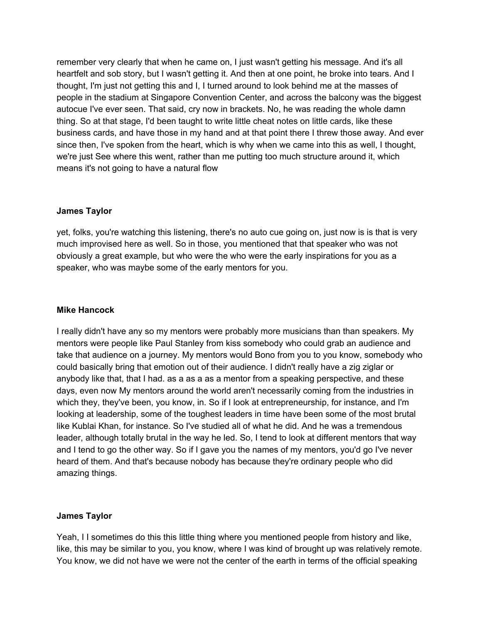remember very clearly that when he came on, I just wasn't getting his message. And it's all heartfelt and sob story, but I wasn't getting it. And then at one point, he broke into tears. And I thought, I'm just not getting this and I, I turned around to look behind me at the masses of people in the stadium at Singapore Convention Center, and across the balcony was the biggest autocue I've ever seen. That said, cry now in brackets. No, he was reading the whole damn thing. So at that stage, I'd been taught to write little cheat notes on little cards, like these business cards, and have those in my hand and at that point there I threw those away. And ever since then, I've spoken from the heart, which is why when we came into this as well, I thought, we're just See where this went, rather than me putting too much structure around it, which means it's not going to have a natural flow

# **James Taylor**

yet, folks, you're watching this listening, there's no auto cue going on, just now is is that is very much improvised here as well. So in those, you mentioned that that speaker who was not obviously a great example, but who were the who were the early inspirations for you as a speaker, who was maybe some of the early mentors for you.

## **Mike Hancock**

I really didn't have any so my mentors were probably more musicians than than speakers. My mentors were people like Paul Stanley from kiss somebody who could grab an audience and take that audience on a journey. My mentors would Bono from you to you know, somebody who could basically bring that emotion out of their audience. I didn't really have a zig ziglar or anybody like that, that I had. as a as a as a mentor from a speaking perspective, and these days, even now My mentors around the world aren't necessarily coming from the industries in which they, they've been, you know, in. So if I look at entrepreneurship, for instance, and I'm looking at leadership, some of the toughest leaders in time have been some of the most brutal like Kublai Khan, for instance. So I've studied all of what he did. And he was a tremendous leader, although totally brutal in the way he led. So, I tend to look at different mentors that way and I tend to go the other way. So if I gave you the names of my mentors, you'd go I've never heard of them. And that's because nobody has because they're ordinary people who did amazing things.

# **James Taylor**

Yeah, I I sometimes do this this little thing where you mentioned people from history and like, like, this may be similar to you, you know, where I was kind of brought up was relatively remote. You know, we did not have we were not the center of the earth in terms of the official speaking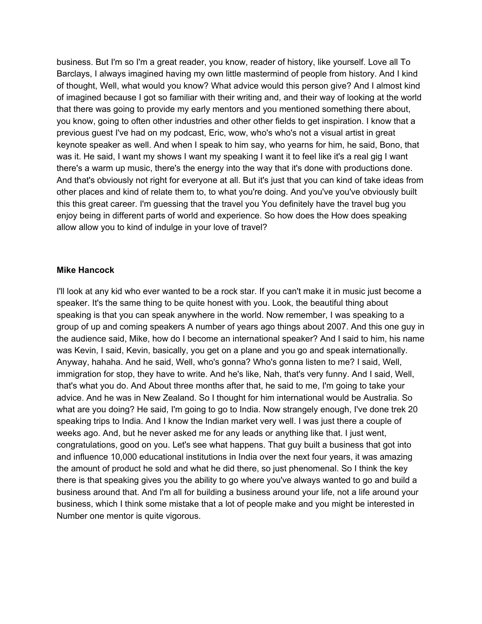business. But I'm so I'm a great reader, you know, reader of history, like yourself. Love all To Barclays, I always imagined having my own little mastermind of people from history. And I kind of thought, Well, what would you know? What advice would this person give? And I almost kind of imagined because I got so familiar with their writing and, and their way of looking at the world that there was going to provide my early mentors and you mentioned something there about, you know, going to often other industries and other other fields to get inspiration. I know that a previous guest I've had on my podcast, Eric, wow, who's who's not a visual artist in great keynote speaker as well. And when I speak to him say, who yearns for him, he said, Bono, that was it. He said, I want my shows I want my speaking I want it to feel like it's a real gig I want there's a warm up music, there's the energy into the way that it's done with productions done. And that's obviously not right for everyone at all. But it's just that you can kind of take ideas from other places and kind of relate them to, to what you're doing. And you've you've obviously built this this great career. I'm guessing that the travel you You definitely have the travel bug you enjoy being in different parts of world and experience. So how does the How does speaking allow allow you to kind of indulge in your love of travel?

### **Mike Hancock**

I'll look at any kid who ever wanted to be a rock star. If you can't make it in music just become a speaker. It's the same thing to be quite honest with you. Look, the beautiful thing about speaking is that you can speak anywhere in the world. Now remember, I was speaking to a group of up and coming speakers A number of years ago things about 2007. And this one guy in the audience said, Mike, how do I become an international speaker? And I said to him, his name was Kevin, I said, Kevin, basically, you get on a plane and you go and speak internationally. Anyway, hahaha. And he said, Well, who's gonna? Who's gonna listen to me? I said, Well, immigration for stop, they have to write. And he's like, Nah, that's very funny. And I said, Well, that's what you do. And About three months after that, he said to me, I'm going to take your advice. And he was in New Zealand. So I thought for him international would be Australia. So what are you doing? He said, I'm going to go to India. Now strangely enough, I've done trek 20 speaking trips to India. And I know the Indian market very well. I was just there a couple of weeks ago. And, but he never asked me for any leads or anything like that. I just went, congratulations, good on you. Let's see what happens. That guy built a business that got into and influence 10,000 educational institutions in India over the next four years, it was amazing the amount of product he sold and what he did there, so just phenomenal. So I think the key there is that speaking gives you the ability to go where you've always wanted to go and build a business around that. And I'm all for building a business around your life, not a life around your business, which I think some mistake that a lot of people make and you might be interested in Number one mentor is quite vigorous.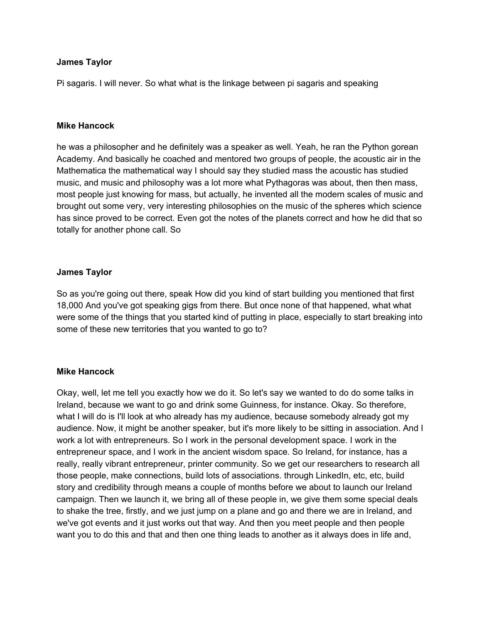Pi sagaris. I will never. So what what is the linkage between pi sagaris and speaking

#### **Mike Hancock**

he was a philosopher and he definitely was a speaker as well. Yeah, he ran the Python gorean Academy. And basically he coached and mentored two groups of people, the acoustic air in the Mathematica the mathematical way I should say they studied mass the acoustic has studied music, and music and philosophy was a lot more what Pythagoras was about, then then mass, most people just knowing for mass, but actually, he invented all the modern scales of music and brought out some very, very interesting philosophies on the music of the spheres which science has since proved to be correct. Even got the notes of the planets correct and how he did that so totally for another phone call. So

### **James Taylor**

So as you're going out there, speak How did you kind of start building you mentioned that first 18,000 And you've got speaking gigs from there. But once none of that happened, what what were some of the things that you started kind of putting in place, especially to start breaking into some of these new territories that you wanted to go to?

#### **Mike Hancock**

Okay, well, let me tell you exactly how we do it. So let's say we wanted to do do some talks in Ireland, because we want to go and drink some Guinness, for instance. Okay. So therefore, what I will do is I'll look at who already has my audience, because somebody already got my audience. Now, it might be another speaker, but it's more likely to be sitting in association. And I work a lot with entrepreneurs. So I work in the personal development space. I work in the entrepreneur space, and I work in the ancient wisdom space. So Ireland, for instance, has a really, really vibrant entrepreneur, printer community. So we get our researchers to research all those people, make connections, build lots of associations. through LinkedIn, etc, etc, build story and credibility through means a couple of months before we about to launch our Ireland campaign. Then we launch it, we bring all of these people in, we give them some special deals to shake the tree, firstly, and we just jump on a plane and go and there we are in Ireland, and we've got events and it just works out that way. And then you meet people and then people want you to do this and that and then one thing leads to another as it always does in life and,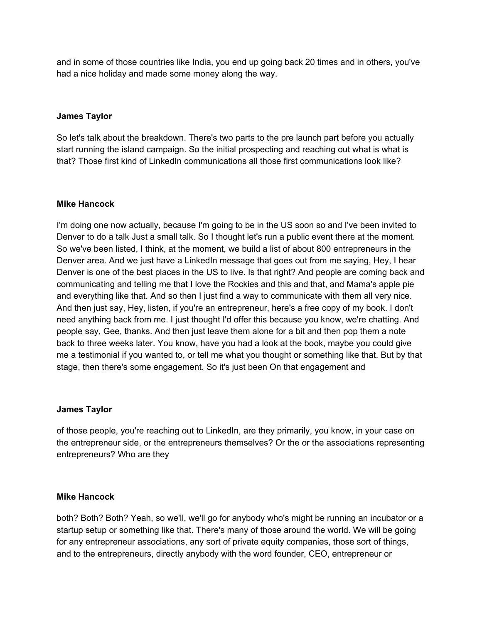and in some of those countries like India, you end up going back 20 times and in others, you've had a nice holiday and made some money along the way.

# **James Taylor**

So let's talk about the breakdown. There's two parts to the pre launch part before you actually start running the island campaign. So the initial prospecting and reaching out what is what is that? Those first kind of LinkedIn communications all those first communications look like?

## **Mike Hancock**

I'm doing one now actually, because I'm going to be in the US soon so and I've been invited to Denver to do a talk Just a small talk. So I thought let's run a public event there at the moment. So we've been listed, I think, at the moment, we build a list of about 800 entrepreneurs in the Denver area. And we just have a LinkedIn message that goes out from me saying, Hey, I hear Denver is one of the best places in the US to live. Is that right? And people are coming back and communicating and telling me that I love the Rockies and this and that, and Mama's apple pie and everything like that. And so then I just find a way to communicate with them all very nice. And then just say, Hey, listen, if you're an entrepreneur, here's a free copy of my book. I don't need anything back from me. I just thought I'd offer this because you know, we're chatting. And people say, Gee, thanks. And then just leave them alone for a bit and then pop them a note back to three weeks later. You know, have you had a look at the book, maybe you could give me a testimonial if you wanted to, or tell me what you thought or something like that. But by that stage, then there's some engagement. So it's just been On that engagement and

## **James Taylor**

of those people, you're reaching out to LinkedIn, are they primarily, you know, in your case on the entrepreneur side, or the entrepreneurs themselves? Or the or the associations representing entrepreneurs? Who are they

## **Mike Hancock**

both? Both? Both? Yeah, so we'll, we'll go for anybody who's might be running an incubator or a startup setup or something like that. There's many of those around the world. We will be going for any entrepreneur associations, any sort of private equity companies, those sort of things, and to the entrepreneurs, directly anybody with the word founder, CEO, entrepreneur or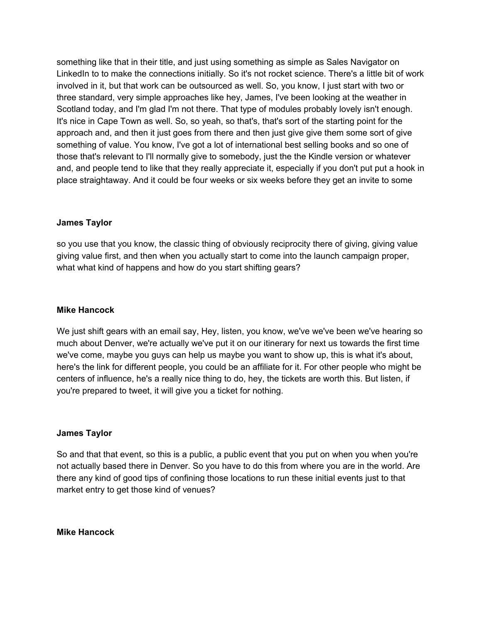something like that in their title, and just using something as simple as Sales Navigator on LinkedIn to to make the connections initially. So it's not rocket science. There's a little bit of work involved in it, but that work can be outsourced as well. So, you know, I just start with two or three standard, very simple approaches like hey, James, I've been looking at the weather in Scotland today, and I'm glad I'm not there. That type of modules probably lovely isn't enough. It's nice in Cape Town as well. So, so yeah, so that's, that's sort of the starting point for the approach and, and then it just goes from there and then just give give them some sort of give something of value. You know, I've got a lot of international best selling books and so one of those that's relevant to I'll normally give to somebody, just the the Kindle version or whatever and, and people tend to like that they really appreciate it, especially if you don't put put a hook in place straightaway. And it could be four weeks or six weeks before they get an invite to some

## **James Taylor**

so you use that you know, the classic thing of obviously reciprocity there of giving, giving value giving value first, and then when you actually start to come into the launch campaign proper, what what kind of happens and how do you start shifting gears?

## **Mike Hancock**

We just shift gears with an email say, Hey, listen, you know, we've we've been we've hearing so much about Denver, we're actually we've put it on our itinerary for next us towards the first time we've come, maybe you guys can help us maybe you want to show up, this is what it's about, here's the link for different people, you could be an affiliate for it. For other people who might be centers of influence, he's a really nice thing to do, hey, the tickets are worth this. But listen, if you're prepared to tweet, it will give you a ticket for nothing.

## **James Taylor**

So and that that event, so this is a public, a public event that you put on when you when you're not actually based there in Denver. So you have to do this from where you are in the world. Are there any kind of good tips of confining those locations to run these initial events just to that market entry to get those kind of venues?

**Mike Hancock**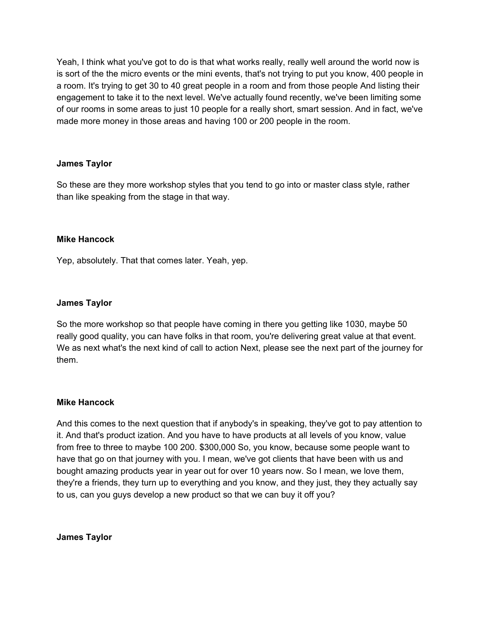Yeah, I think what you've got to do is that what works really, really well around the world now is is sort of the the micro events or the mini events, that's not trying to put you know, 400 people in a room. It's trying to get 30 to 40 great people in a room and from those people And listing their engagement to take it to the next level. We've actually found recently, we've been limiting some of our rooms in some areas to just 10 people for a really short, smart session. And in fact, we've made more money in those areas and having 100 or 200 people in the room.

## **James Taylor**

So these are they more workshop styles that you tend to go into or master class style, rather than like speaking from the stage in that way.

## **Mike Hancock**

Yep, absolutely. That that comes later. Yeah, yep.

### **James Taylor**

So the more workshop so that people have coming in there you getting like 1030, maybe 50 really good quality, you can have folks in that room, you're delivering great value at that event. We as next what's the next kind of call to action Next, please see the next part of the journey for them.

## **Mike Hancock**

And this comes to the next question that if anybody's in speaking, they've got to pay attention to it. And that's product ization. And you have to have products at all levels of you know, value from free to three to maybe 100 200. \$300,000 So, you know, because some people want to have that go on that journey with you. I mean, we've got clients that have been with us and bought amazing products year in year out for over 10 years now. So I mean, we love them, they're a friends, they turn up to everything and you know, and they just, they they actually say to us, can you guys develop a new product so that we can buy it off you?

**James Taylor**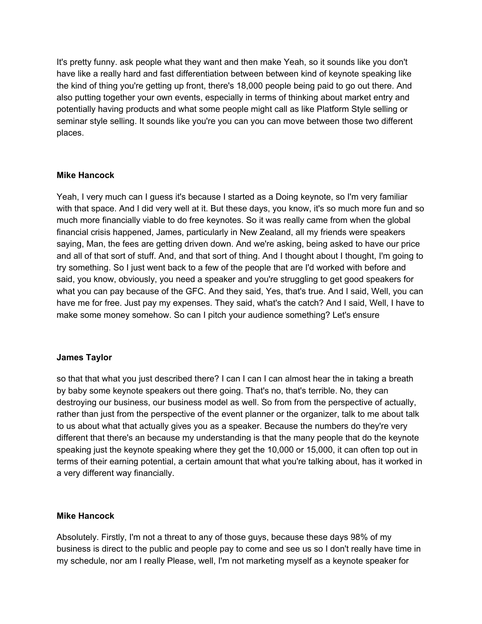It's pretty funny. ask people what they want and then make Yeah, so it sounds like you don't have like a really hard and fast differentiation between between kind of keynote speaking like the kind of thing you're getting up front, there's 18,000 people being paid to go out there. And also putting together your own events, especially in terms of thinking about market entry and potentially having products and what some people might call as like Platform Style selling or seminar style selling. It sounds like you're you can you can move between those two different places.

## **Mike Hancock**

Yeah, I very much can I guess it's because I started as a Doing keynote, so I'm very familiar with that space. And I did very well at it. But these days, you know, it's so much more fun and so much more financially viable to do free keynotes. So it was really came from when the global financial crisis happened, James, particularly in New Zealand, all my friends were speakers saying, Man, the fees are getting driven down. And we're asking, being asked to have our price and all of that sort of stuff. And, and that sort of thing. And I thought about I thought, I'm going to try something. So I just went back to a few of the people that are I'd worked with before and said, you know, obviously, you need a speaker and you're struggling to get good speakers for what you can pay because of the GFC. And they said, Yes, that's true. And I said, Well, you can have me for free. Just pay my expenses. They said, what's the catch? And I said, Well, I have to make some money somehow. So can I pitch your audience something? Let's ensure

## **James Taylor**

so that that what you just described there? I can I can I can almost hear the in taking a breath by baby some keynote speakers out there going. That's no, that's terrible. No, they can destroying our business, our business model as well. So from from the perspective of actually, rather than just from the perspective of the event planner or the organizer, talk to me about talk to us about what that actually gives you as a speaker. Because the numbers do they're very different that there's an because my understanding is that the many people that do the keynote speaking just the keynote speaking where they get the 10,000 or 15,000, it can often top out in terms of their earning potential, a certain amount that what you're talking about, has it worked in a very different way financially.

## **Mike Hancock**

Absolutely. Firstly, I'm not a threat to any of those guys, because these days 98% of my business is direct to the public and people pay to come and see us so I don't really have time in my schedule, nor am I really Please, well, I'm not marketing myself as a keynote speaker for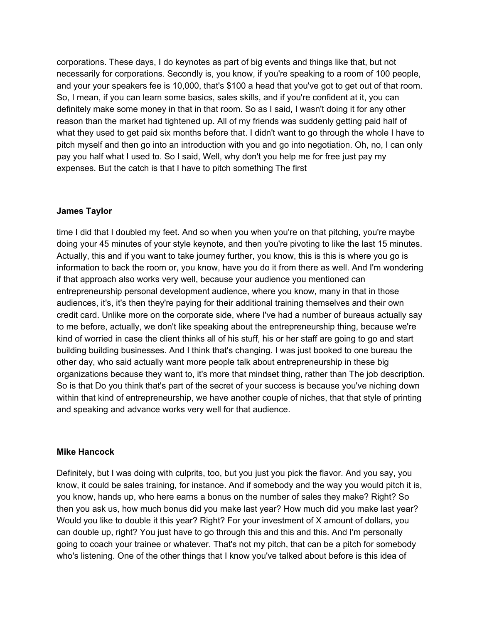corporations. These days, I do keynotes as part of big events and things like that, but not necessarily for corporations. Secondly is, you know, if you're speaking to a room of 100 people, and your your speakers fee is 10,000, that's \$100 a head that you've got to get out of that room. So, I mean, if you can learn some basics, sales skills, and if you're confident at it, you can definitely make some money in that in that room. So as I said, I wasn't doing it for any other reason than the market had tightened up. All of my friends was suddenly getting paid half of what they used to get paid six months before that. I didn't want to go through the whole I have to pitch myself and then go into an introduction with you and go into negotiation. Oh, no, I can only pay you half what I used to. So I said, Well, why don't you help me for free just pay my expenses. But the catch is that I have to pitch something The first

# **James Taylor**

time I did that I doubled my feet. And so when you when you're on that pitching, you're maybe doing your 45 minutes of your style keynote, and then you're pivoting to like the last 15 minutes. Actually, this and if you want to take journey further, you know, this is this is where you go is information to back the room or, you know, have you do it from there as well. And I'm wondering if that approach also works very well, because your audience you mentioned can entrepreneurship personal development audience, where you know, many in that in those audiences, it's, it's then they're paying for their additional training themselves and their own credit card. Unlike more on the corporate side, where I've had a number of bureaus actually say to me before, actually, we don't like speaking about the entrepreneurship thing, because we're kind of worried in case the client thinks all of his stuff, his or her staff are going to go and start building building businesses. And I think that's changing. I was just booked to one bureau the other day, who said actually want more people talk about entrepreneurship in these big organizations because they want to, it's more that mindset thing, rather than The job description. So is that Do you think that's part of the secret of your success is because you've niching down within that kind of entrepreneurship, we have another couple of niches, that that style of printing and speaking and advance works very well for that audience.

## **Mike Hancock**

Definitely, but I was doing with culprits, too, but you just you pick the flavor. And you say, you know, it could be sales training, for instance. And if somebody and the way you would pitch it is, you know, hands up, who here earns a bonus on the number of sales they make? Right? So then you ask us, how much bonus did you make last year? How much did you make last year? Would you like to double it this year? Right? For your investment of X amount of dollars, you can double up, right? You just have to go through this and this and this. And I'm personally going to coach your trainee or whatever. That's not my pitch, that can be a pitch for somebody who's listening. One of the other things that I know you've talked about before is this idea of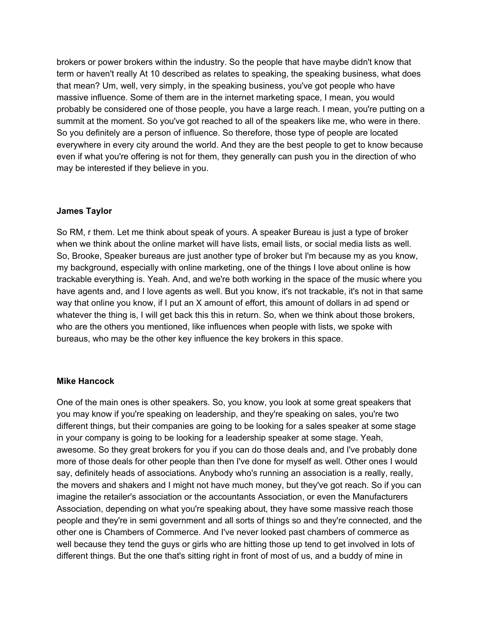brokers or power brokers within the industry. So the people that have maybe didn't know that term or haven't really At 10 described as relates to speaking, the speaking business, what does that mean? Um, well, very simply, in the speaking business, you've got people who have massive influence. Some of them are in the internet marketing space, I mean, you would probably be considered one of those people, you have a large reach. I mean, you're putting on a summit at the moment. So you've got reached to all of the speakers like me, who were in there. So you definitely are a person of influence. So therefore, those type of people are located everywhere in every city around the world. And they are the best people to get to know because even if what you're offering is not for them, they generally can push you in the direction of who may be interested if they believe in you.

# **James Taylor**

So RM, r them. Let me think about speak of yours. A speaker Bureau is just a type of broker when we think about the online market will have lists, email lists, or social media lists as well. So, Brooke, Speaker bureaus are just another type of broker but I'm because my as you know, my background, especially with online marketing, one of the things I love about online is how trackable everything is. Yeah. And, and we're both working in the space of the music where you have agents and, and I love agents as well. But you know, it's not trackable, it's not in that same way that online you know, if I put an X amount of effort, this amount of dollars in ad spend or whatever the thing is, I will get back this this in return. So, when we think about those brokers, who are the others you mentioned, like influences when people with lists, we spoke with bureaus, who may be the other key influence the key brokers in this space.

## **Mike Hancock**

One of the main ones is other speakers. So, you know, you look at some great speakers that you may know if you're speaking on leadership, and they're speaking on sales, you're two different things, but their companies are going to be looking for a sales speaker at some stage in your company is going to be looking for a leadership speaker at some stage. Yeah, awesome. So they great brokers for you if you can do those deals and, and I've probably done more of those deals for other people than then I've done for myself as well. Other ones I would say, definitely heads of associations. Anybody who's running an association is a really, really, the movers and shakers and I might not have much money, but they've got reach. So if you can imagine the retailer's association or the accountants Association, or even the Manufacturers Association, depending on what you're speaking about, they have some massive reach those people and they're in semi government and all sorts of things so and they're connected, and the other one is Chambers of Commerce. And I've never looked past chambers of commerce as well because they tend the guys or girls who are hitting those up tend to get involved in lots of different things. But the one that's sitting right in front of most of us, and a buddy of mine in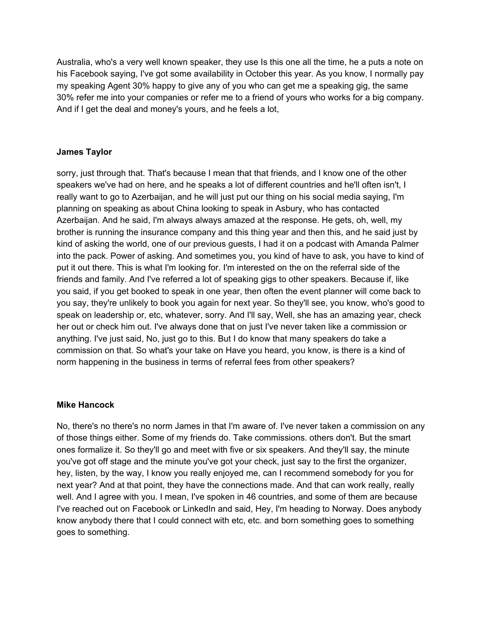Australia, who's a very well known speaker, they use Is this one all the time, he a puts a note on his Facebook saying, I've got some availability in October this year. As you know, I normally pay my speaking Agent 30% happy to give any of you who can get me a speaking gig, the same 30% refer me into your companies or refer me to a friend of yours who works for a big company. And if I get the deal and money's yours, and he feels a lot,

# **James Taylor**

sorry, just through that. That's because I mean that that friends, and I know one of the other speakers we've had on here, and he speaks a lot of different countries and he'll often isn't, I really want to go to Azerbaijan, and he will just put our thing on his social media saying, I'm planning on speaking as about China looking to speak in Asbury, who has contacted Azerbaijan. And he said, I'm always always amazed at the response. He gets, oh, well, my brother is running the insurance company and this thing year and then this, and he said just by kind of asking the world, one of our previous guests, I had it on a podcast with Amanda Palmer into the pack. Power of asking. And sometimes you, you kind of have to ask, you have to kind of put it out there. This is what I'm looking for. I'm interested on the on the referral side of the friends and family. And I've referred a lot of speaking gigs to other speakers. Because if, like you said, if you get booked to speak in one year, then often the event planner will come back to you say, they're unlikely to book you again for next year. So they'll see, you know, who's good to speak on leadership or, etc, whatever, sorry. And I'll say, Well, she has an amazing year, check her out or check him out. I've always done that on just I've never taken like a commission or anything. I've just said, No, just go to this. But I do know that many speakers do take a commission on that. So what's your take on Have you heard, you know, is there is a kind of norm happening in the business in terms of referral fees from other speakers?

## **Mike Hancock**

No, there's no there's no norm James in that I'm aware of. I've never taken a commission on any of those things either. Some of my friends do. Take commissions. others don't. But the smart ones formalize it. So they'll go and meet with five or six speakers. And they'll say, the minute you've got off stage and the minute you've got your check, just say to the first the organizer, hey, listen, by the way, I know you really enjoyed me, can I recommend somebody for you for next year? And at that point, they have the connections made. And that can work really, really well. And I agree with you. I mean, I've spoken in 46 countries, and some of them are because I've reached out on Facebook or LinkedIn and said, Hey, I'm heading to Norway. Does anybody know anybody there that I could connect with etc, etc. and born something goes to something goes to something.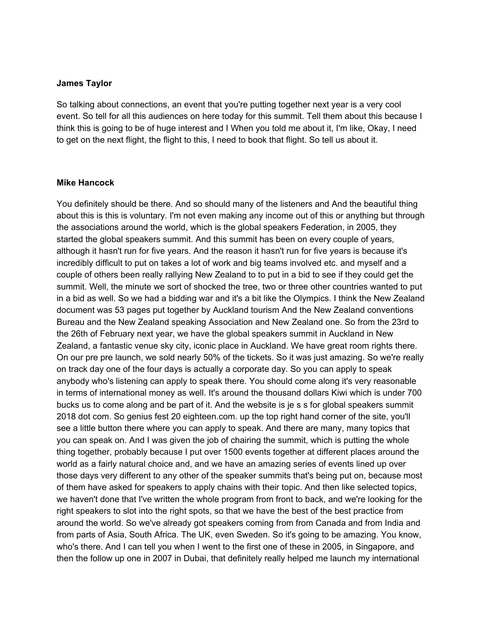So talking about connections, an event that you're putting together next year is a very cool event. So tell for all this audiences on here today for this summit. Tell them about this because I think this is going to be of huge interest and I When you told me about it, I'm like, Okay, I need to get on the next flight, the flight to this, I need to book that flight. So tell us about it.

#### **Mike Hancock**

You definitely should be there. And so should many of the listeners and And the beautiful thing about this is this is voluntary. I'm not even making any income out of this or anything but through the associations around the world, which is the global speakers Federation, in 2005, they started the global speakers summit. And this summit has been on every couple of years, although it hasn't run for five years. And the reason it hasn't run for five years is because it's incredibly difficult to put on takes a lot of work and big teams involved etc. and myself and a couple of others been really rallying New Zealand to to put in a bid to see if they could get the summit. Well, the minute we sort of shocked the tree, two or three other countries wanted to put in a bid as well. So we had a bidding war and it's a bit like the Olympics. I think the New Zealand document was 53 pages put together by Auckland tourism And the New Zealand conventions Bureau and the New Zealand speaking Association and New Zealand one. So from the 23rd to the 26th of February next year, we have the global speakers summit in Auckland in New Zealand, a fantastic venue sky city, iconic place in Auckland. We have great room rights there. On our pre pre launch, we sold nearly 50% of the tickets. So it was just amazing. So we're really on track day one of the four days is actually a corporate day. So you can apply to speak anybody who's listening can apply to speak there. You should come along it's very reasonable in terms of international money as well. It's around the thousand dollars Kiwi which is under 700 bucks us to come along and be part of it. And the website is je s s for global speakers summit 2018 dot com. So genius fest 20 eighteen.com. up the top right hand corner of the site, you'll see a little button there where you can apply to speak. And there are many, many topics that you can speak on. And I was given the job of chairing the summit, which is putting the whole thing together, probably because I put over 1500 events together at different places around the world as a fairly natural choice and, and we have an amazing series of events lined up over those days very different to any other of the speaker summits that's being put on, because most of them have asked for speakers to apply chains with their topic. And then like selected topics, we haven't done that I've written the whole program from front to back, and we're looking for the right speakers to slot into the right spots, so that we have the best of the best practice from around the world. So we've already got speakers coming from from Canada and from India and from parts of Asia, South Africa. The UK, even Sweden. So it's going to be amazing. You know, who's there. And I can tell you when I went to the first one of these in 2005, in Singapore, and then the follow up one in 2007 in Dubai, that definitely really helped me launch my international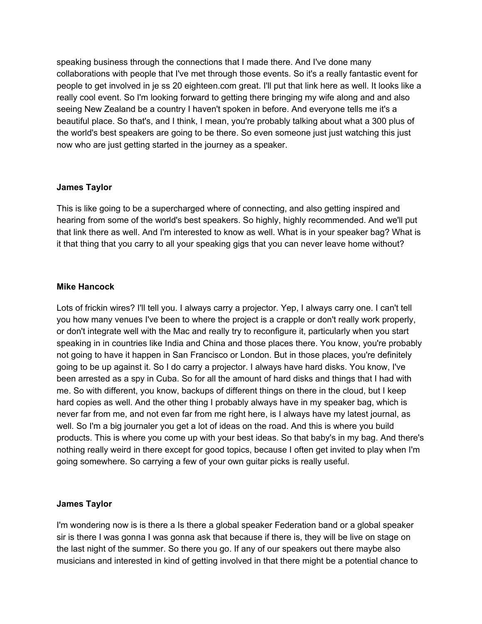speaking business through the connections that I made there. And I've done many collaborations with people that I've met through those events. So it's a really fantastic event for people to get involved in je ss 20 eighteen.com great. I'll put that link here as well. It looks like a really cool event. So I'm looking forward to getting there bringing my wife along and and also seeing New Zealand be a country I haven't spoken in before. And everyone tells me it's a beautiful place. So that's, and I think, I mean, you're probably talking about what a 300 plus of the world's best speakers are going to be there. So even someone just just watching this just now who are just getting started in the journey as a speaker.

## **James Taylor**

This is like going to be a supercharged where of connecting, and also getting inspired and hearing from some of the world's best speakers. So highly, highly recommended. And we'll put that link there as well. And I'm interested to know as well. What is in your speaker bag? What is it that thing that you carry to all your speaking gigs that you can never leave home without?

# **Mike Hancock**

Lots of frickin wires? I'll tell you. I always carry a projector. Yep, I always carry one. I can't tell you how many venues I've been to where the project is a crapple or don't really work properly, or don't integrate well with the Mac and really try to reconfigure it, particularly when you start speaking in in countries like India and China and those places there. You know, you're probably not going to have it happen in San Francisco or London. But in those places, you're definitely going to be up against it. So I do carry a projector. I always have hard disks. You know, I've been arrested as a spy in Cuba. So for all the amount of hard disks and things that I had with me. So with different, you know, backups of different things on there in the cloud, but I keep hard copies as well. And the other thing I probably always have in my speaker bag, which is never far from me, and not even far from me right here, is I always have my latest journal, as well. So I'm a big journaler you get a lot of ideas on the road. And this is where you build products. This is where you come up with your best ideas. So that baby's in my bag. And there's nothing really weird in there except for good topics, because I often get invited to play when I'm going somewhere. So carrying a few of your own guitar picks is really useful.

## **James Taylor**

I'm wondering now is is there a Is there a global speaker Federation band or a global speaker sir is there I was gonna I was gonna ask that because if there is, they will be live on stage on the last night of the summer. So there you go. If any of our speakers out there maybe also musicians and interested in kind of getting involved in that there might be a potential chance to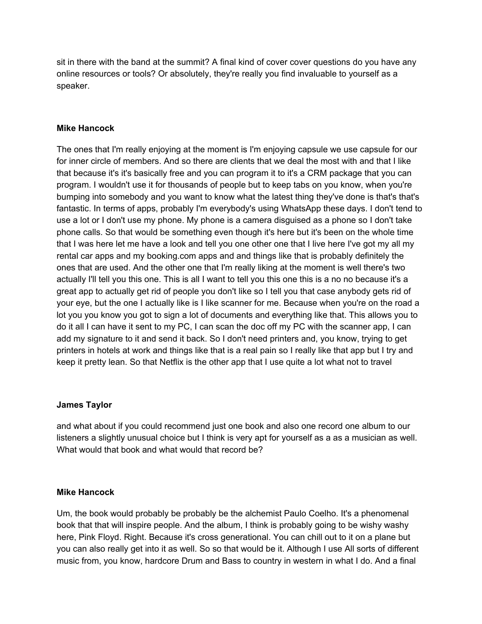sit in there with the band at the summit? A final kind of cover cover questions do you have any online resources or tools? Or absolutely, they're really you find invaluable to yourself as a speaker.

# **Mike Hancock**

The ones that I'm really enjoying at the moment is I'm enjoying capsule we use capsule for our for inner circle of members. And so there are clients that we deal the most with and that I like that because it's it's basically free and you can program it to it's a CRM package that you can program. I wouldn't use it for thousands of people but to keep tabs on you know, when you're bumping into somebody and you want to know what the latest thing they've done is that's that's fantastic. In terms of apps, probably I'm everybody's using WhatsApp these days. I don't tend to use a lot or I don't use my phone. My phone is a camera disguised as a phone so I don't take phone calls. So that would be something even though it's here but it's been on the whole time that I was here let me have a look and tell you one other one that I live here I've got my all my rental car apps and my booking.com apps and and things like that is probably definitely the ones that are used. And the other one that I'm really liking at the moment is well there's two actually I'll tell you this one. This is all I want to tell you this one this is a no no because it's a great app to actually get rid of people you don't like so I tell you that case anybody gets rid of your eye, but the one I actually like is I like scanner for me. Because when you're on the road a lot you you know you got to sign a lot of documents and everything like that. This allows you to do it all I can have it sent to my PC, I can scan the doc off my PC with the scanner app, I can add my signature to it and send it back. So I don't need printers and, you know, trying to get printers in hotels at work and things like that is a real pain so I really like that app but I try and keep it pretty lean. So that Netflix is the other app that I use quite a lot what not to travel

## **James Taylor**

and what about if you could recommend just one book and also one record one album to our listeners a slightly unusual choice but I think is very apt for yourself as a as a musician as well. What would that book and what would that record be?

## **Mike Hancock**

Um, the book would probably be probably be the alchemist Paulo Coelho. It's a phenomenal book that that will inspire people. And the album, I think is probably going to be wishy washy here, Pink Floyd. Right. Because it's cross generational. You can chill out to it on a plane but you can also really get into it as well. So so that would be it. Although I use All sorts of different music from, you know, hardcore Drum and Bass to country in western in what I do. And a final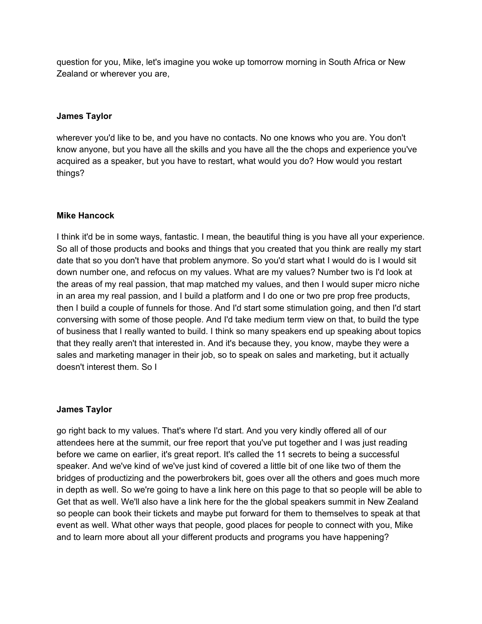question for you, Mike, let's imagine you woke up tomorrow morning in South Africa or New Zealand or wherever you are,

## **James Taylor**

wherever you'd like to be, and you have no contacts. No one knows who you are. You don't know anyone, but you have all the skills and you have all the the chops and experience you've acquired as a speaker, but you have to restart, what would you do? How would you restart things?

### **Mike Hancock**

I think it'd be in some ways, fantastic. I mean, the beautiful thing is you have all your experience. So all of those products and books and things that you created that you think are really my start date that so you don't have that problem anymore. So you'd start what I would do is I would sit down number one, and refocus on my values. What are my values? Number two is I'd look at the areas of my real passion, that map matched my values, and then I would super micro niche in an area my real passion, and I build a platform and I do one or two pre prop free products, then I build a couple of funnels for those. And I'd start some stimulation going, and then I'd start conversing with some of those people. And I'd take medium term view on that, to build the type of business that I really wanted to build. I think so many speakers end up speaking about topics that they really aren't that interested in. And it's because they, you know, maybe they were a sales and marketing manager in their job, so to speak on sales and marketing, but it actually doesn't interest them. So I

#### **James Taylor**

go right back to my values. That's where I'd start. And you very kindly offered all of our attendees here at the summit, our free report that you've put together and I was just reading before we came on earlier, it's great report. It's called the 11 secrets to being a successful speaker. And we've kind of we've just kind of covered a little bit of one like two of them the bridges of productizing and the powerbrokers bit, goes over all the others and goes much more in depth as well. So we're going to have a link here on this page to that so people will be able to Get that as well. We'll also have a link here for the the global speakers summit in New Zealand so people can book their tickets and maybe put forward for them to themselves to speak at that event as well. What other ways that people, good places for people to connect with you, Mike and to learn more about all your different products and programs you have happening?